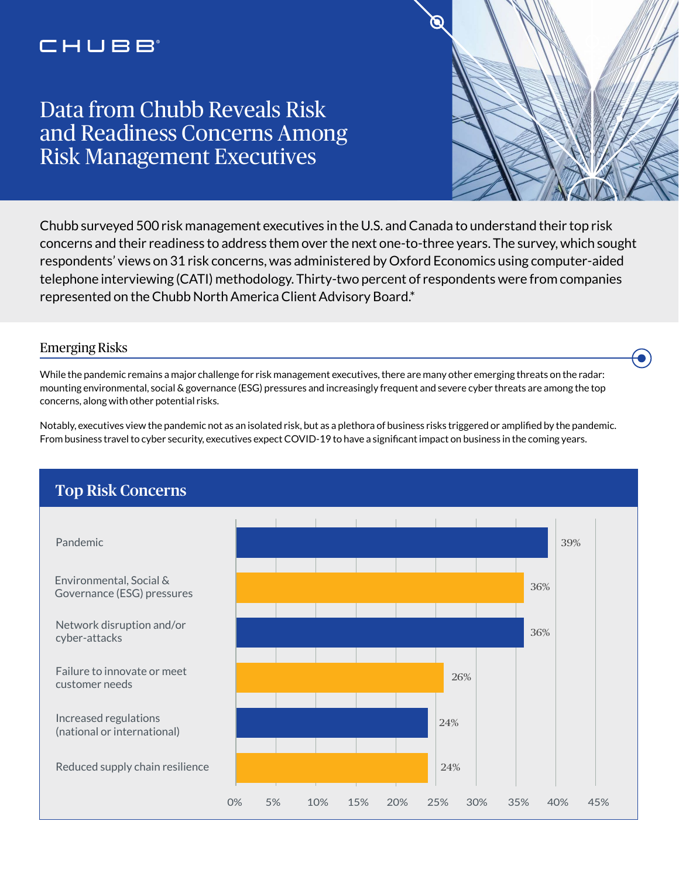# CHUBB

# Data from Chubb Reveals Risk and Readiness Concerns Among Risk Management Executives



 $\bullet$ 

Chubb surveyed 500 risk management executives in the U.S. and Canada to understand their top risk concerns and their readiness to address them over the next one-to-three years. The survey, which sought respondents' views on 31 risk concerns, was administered by Oxford Economics using computer-aided telephone interviewing (CATI) methodology. Thirty-two percent of respondents were from companies represented on the Chubb North America Client Advisory Board.\*

#### Emerging Risks

While the pandemic remains a major challenge for risk management executives, there are many other emerging threats on the radar: mounting environmental, social & governance (ESG) pressures and increasingly frequent and severe cyber threats are among the top concerns, along with other potential risks.

Notably, executives view the pandemic not as an isolated risk, but as a plethora of business risks triggered or amplified by the pandemic. From business travel to cyber security, executives expect COVID-19 to have a significant impact on business in the coming years.

### 24% 24% 26% 36% 36% 39% 0% 5% 10% 15% 20% 25% 30% 35% 40% 45% Reduced supply chain resilience Increased regulations (national or international) Failure to innovate or meet customer needs Network disruption and/or cyber-attacks Environmental, Social & Governance (ESG) pressures Pandemic Top Risk Concerns